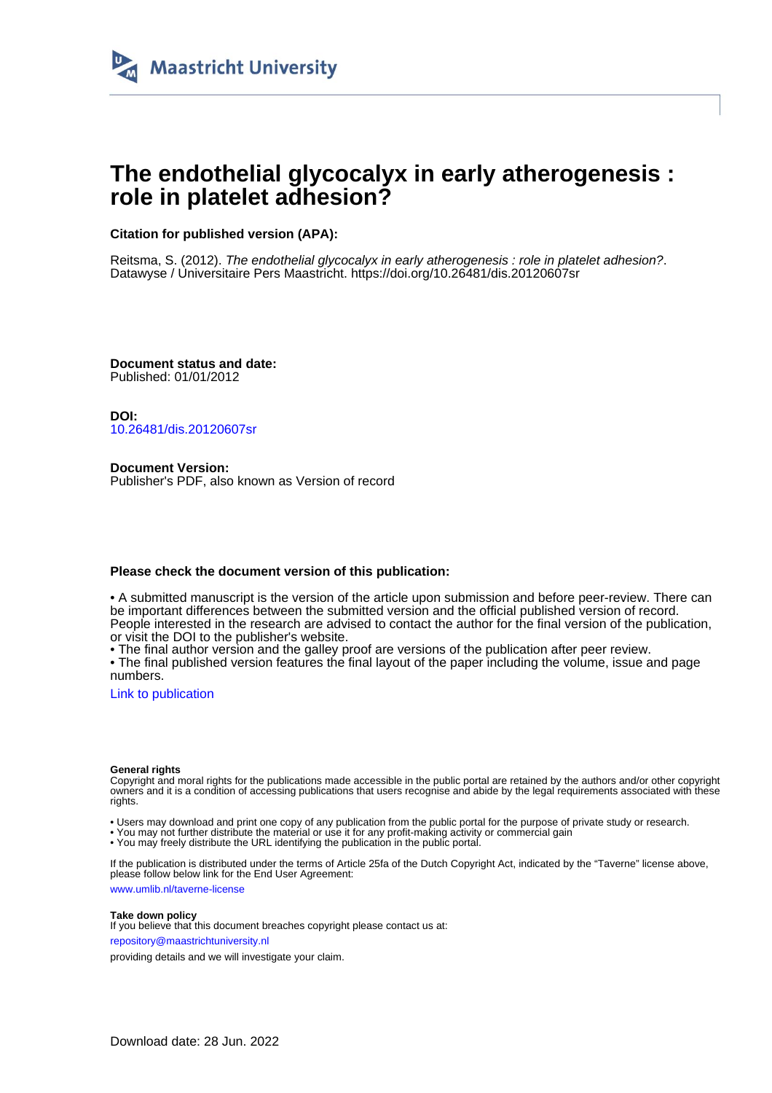

# **The endothelial glycocalyx in early atherogenesis : role in platelet adhesion?**

**Citation for published version (APA):**

Reitsma, S. (2012). The endothelial glycocalyx in early atherogenesis : role in platelet adhesion?. Datawyse / Universitaire Pers Maastricht. <https://doi.org/10.26481/dis.20120607sr>

**Document status and date:** Published: 01/01/2012

**DOI:** [10.26481/dis.20120607sr](https://doi.org/10.26481/dis.20120607sr)

**Document Version:** Publisher's PDF, also known as Version of record

### **Please check the document version of this publication:**

• A submitted manuscript is the version of the article upon submission and before peer-review. There can be important differences between the submitted version and the official published version of record. People interested in the research are advised to contact the author for the final version of the publication, or visit the DOI to the publisher's website.

• The final author version and the galley proof are versions of the publication after peer review.

• The final published version features the final layout of the paper including the volume, issue and page numbers.

[Link to publication](https://cris.maastrichtuniversity.nl/en/publications/1c55b11b-a849-403f-a976-e51d829f119e)

#### **General rights**

Copyright and moral rights for the publications made accessible in the public portal are retained by the authors and/or other copyright owners and it is a condition of accessing publications that users recognise and abide by the legal requirements associated with these rights.

• Users may download and print one copy of any publication from the public portal for the purpose of private study or research.

• You may not further distribute the material or use it for any profit-making activity or commercial gain

• You may freely distribute the URL identifying the publication in the public portal.

If the publication is distributed under the terms of Article 25fa of the Dutch Copyright Act, indicated by the "Taverne" license above, please follow below link for the End User Agreement:

www.umlib.nl/taverne-license

#### **Take down policy**

If you believe that this document breaches copyright please contact us at: repository@maastrichtuniversity.nl

providing details and we will investigate your claim.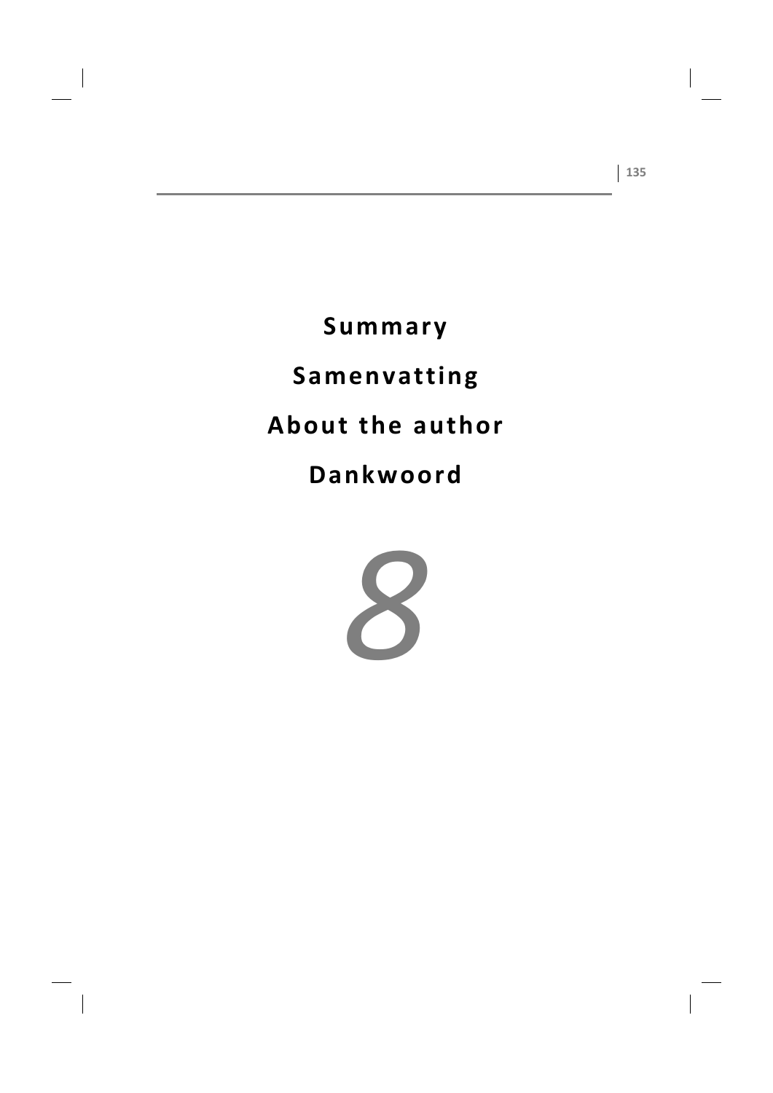# Summary Samenvatting About the author Dankwoord

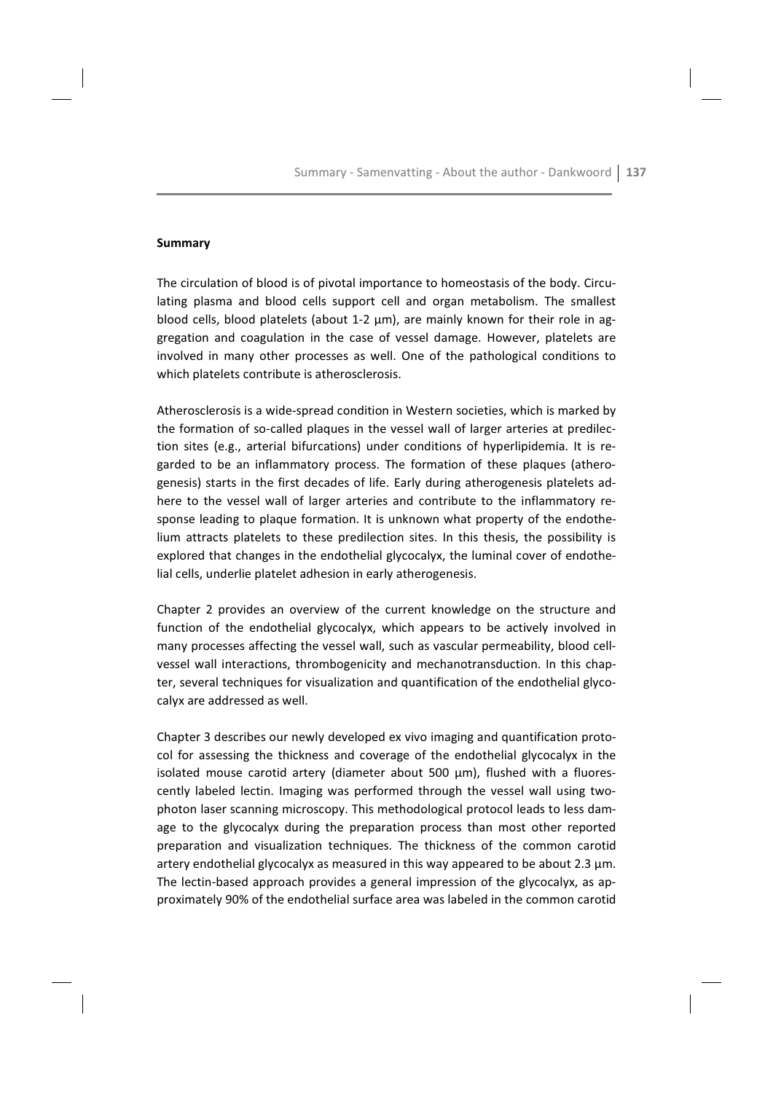## **Summary**

The circulation of blood is of pivotal importance to homeostasis of the body. Circulating plasma and blood cells support cell and organ metabolism. The smallest blood cells, blood platelets (about 1-2  $\mu$ m), are mainly known for their role in aggregation and coagulation in the case of vessel damage. However, platelets are involved in many other processes as well. One of the pathological conditions to which platelets contribute is atherosclerosis.

Atherosclerosis is a wide-spread condition in Western societies, which is marked by the formation of so-called plagues in the vessel wall of larger arteries at predilection sites (e.g., arterial bifurcations) under conditions of hyperlipidemia. It is regarded to be an inflammatory process. The formation of these plaques (atherogenesis) starts in the first decades of life. Early during atherogenesis platelets adhere to the vessel wall of larger arteries and contribute to the inflammatory response leading to plague formation. It is unknown what property of the endothelium attracts platelets to these predilection sites. In this thesis, the possibility is explored that changes in the endothelial glycocalyx, the luminal cover of endothelial cells, underlie platelet adhesion in early atherogenesis.

Chapter 2 provides an overview of the current knowledge on the structure and function of the endothelial glycocalyx, which appears to be actively involved in many processes affecting the vessel wall, such as vascular permeability, blood cellvessel wall interactions, thrombogenicity and mechanotransduction. In this chapter, several techniques for visualization and quantification of the endothelial glycocalyx are addressed as well.

Chapter 3 describes our newly developed ex vivo imaging and quantification protocol for assessing the thickness and coverage of the endothelial glycocalyx in the isolated mouse carotid artery (diameter about 500 µm), flushed with a fluorescently labeled lectin. Imaging was performed through the vessel wall using twophoton laser scanning microscopy. This methodological protocol leads to less damage to the glycocalyx during the preparation process than most other reported preparation and visualization techniques. The thickness of the common carotid artery endothelial glycocalyx as measured in this way appeared to be about 2.3  $\mu$ m. The lectin-based approach provides a general impression of the glycocalyx, as approximately 90% of the endothelial surface area was labeled in the common carotid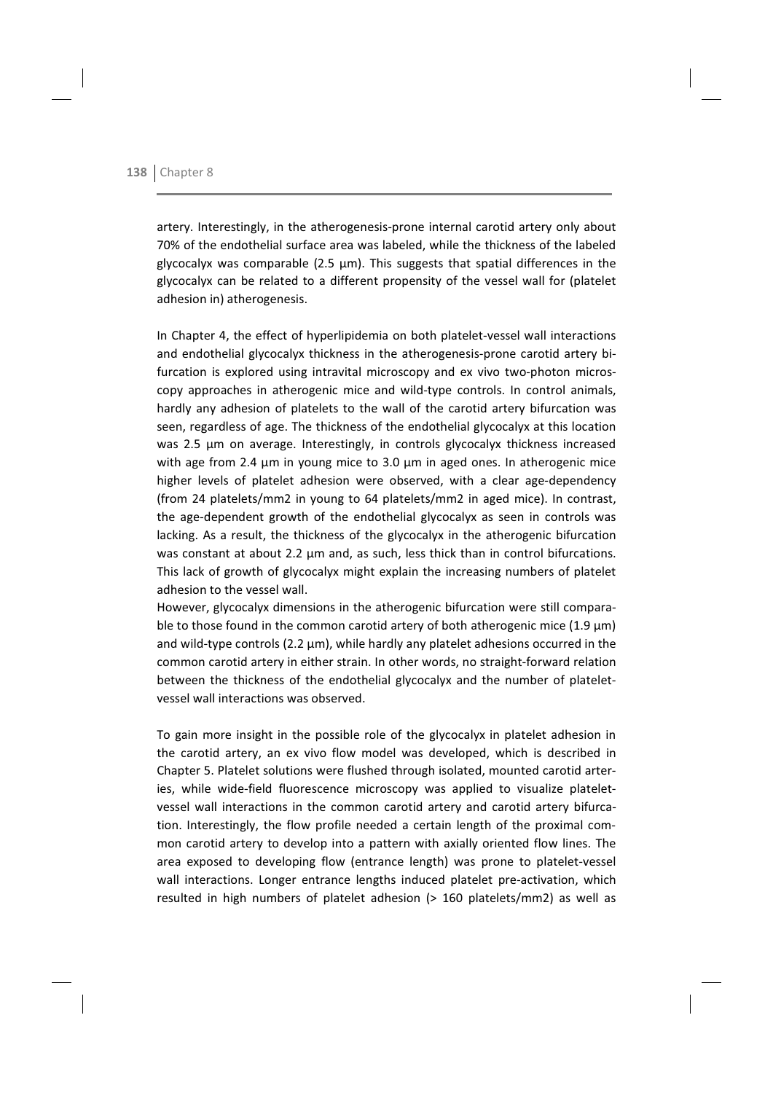artery. Interestingly, in the atherogenesis-prone internal carotid artery only about 70% of the endothelial surface area was labeled, while the thickness of the labeled glycocalyx was comparable (2.5 µm). This suggests that spatial differences in the glycocalyx can be related to a different propensity of the vessel wall for (platelet adhesion in) atherogenesis.

In Chapter 4, the effect of hyperlipidemia on both platelet-vessel wall interactions and endothelial glycocalyx thickness in the atherogenesis-prone carotid artery bifurcation is explored using intravital microscopy and ex vivo two-photon microscopy approaches in atherogenic mice and wild-type controls. In control animals, hardly any adhesion of platelets to the wall of the carotid artery bifurcation was seen, regardless of age. The thickness of the endothelial glycocalyx at this location was 2.5 um on average. Interestingly, in controls glycocalyx thickness increased with age from 2.4  $\mu$ m in young mice to 3.0  $\mu$ m in aged ones. In atherogenic mice higher levels of platelet adhesion were observed, with a clear age-dependency (from 24 platelets/mm2 in young to 64 platelets/mm2 in aged mice). In contrast, the age-dependent growth of the endothelial glycocalyx as seen in controls was lacking. As a result, the thickness of the glycocalyx in the atherogenic bifurcation was constant at about 2.2 µm and, as such, less thick than in control bifurcations. This lack of growth of glycocalyx might explain the increasing numbers of platelet adhesion to the vessel wall.

However, glycocalyx dimensions in the atherogenic bifurcation were still comparable to those found in the common carotid artery of both atherogenic mice  $(1.9 \,\mu m)$ and wild-type controls  $(2.2 \mu m)$ , while hardly any platelet adhesions occurred in the common carotid artery in either strain. In other words, no straight-forward relation between the thickness of the endothelial glycocalyx and the number of plateletvessel wall interactions was observed.

To gain more insight in the possible role of the glycocalyx in platelet adhesion in the carotid artery, an ex vivo flow model was developed, which is described in Chapter 5. Platelet solutions were flushed through isolated, mounted carotid arteries, while wide-field fluorescence microscopy was applied to visualize plateletvessel wall interactions in the common carotid artery and carotid artery bifurcation. Interestingly, the flow profile needed a certain length of the proximal common carotid artery to develop into a pattern with axially oriented flow lines. The area exposed to developing flow (entrance length) was prone to platelet-vessel wall interactions. Longer entrance lengths induced platelet pre-activation, which resulted in high numbers of platelet adhesion (> 160 platelets/mm2) as well as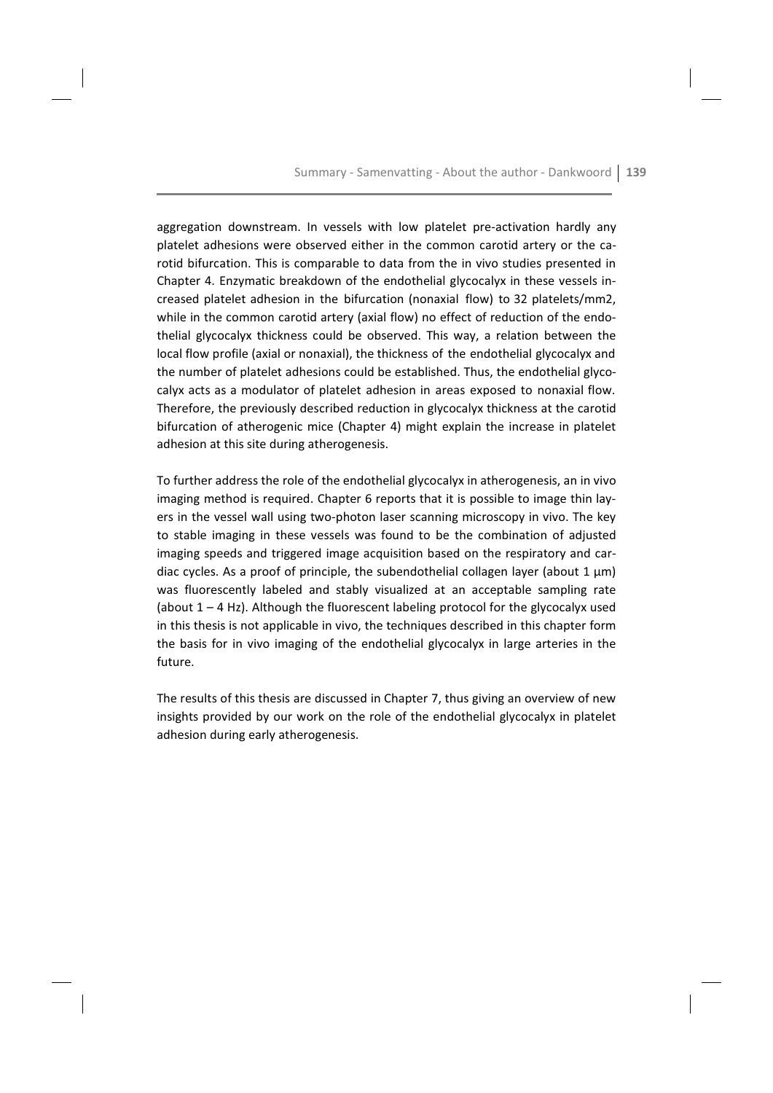aggregation downstream. In vessels with low platelet pre-activation hardly any platelet adhesions were observed either in the common carotid artery or the carotid bifurcation. This is comparable to data from the in vivo studies presented in Chapter 4. Enzymatic breakdown of the endothelial glycocalyx in these vessels increased platelet adhesion in the bifurcation (nonaxial flow) to 32 platelets/mm2, while in the common carotid artery (axial flow) no effect of reduction of the endothelial glycocalyx thickness could be observed. This way, a relation between the local flow profile (axial or nonaxial), the thickness of the endothelial glycocalyx and the number of platelet adhesions could be established. Thus, the endothelial glycocalvx acts as a modulator of platelet adhesion in areas exposed to nonaxial flow. Therefore, the previously described reduction in glycocalyx thickness at the carotid bifurcation of atherogenic mice (Chapter 4) might explain the increase in platelet adhesion at this site during atherogenesis.

To further address the role of the endothelial glycocalyx in atherogenesis, an in vivo imaging method is required. Chapter 6 reports that it is possible to image thin layers in the vessel wall using two-photon laser scanning microscopy in vivo. The key to stable imaging in these vessels was found to be the combination of adjusted imaging speeds and triggered image acquisition based on the respiratory and cardiac cycles. As a proof of principle, the subendothelial collagen layer (about  $1 \mu m$ ) was fluorescently labeled and stably visualized at an acceptable sampling rate (about  $1 - 4$  Hz). Although the fluorescent labeling protocol for the glycocalyx used in this thesis is not applicable in vivo, the techniques described in this chapter form the basis for in vivo imaging of the endothelial glycocalyx in large arteries in the future

The results of this thesis are discussed in Chapter 7, thus giving an overview of new insights provided by our work on the role of the endothelial glycocalyx in platelet adhesion during early atherogenesis.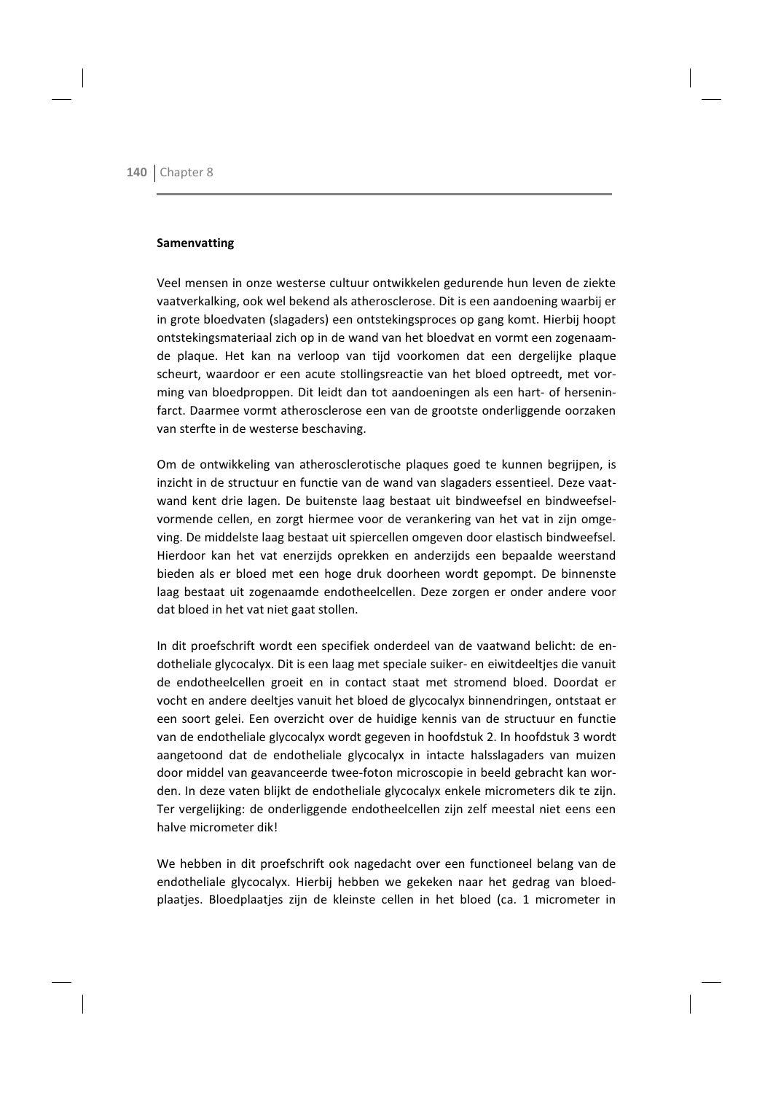# **Samenvatting**

Veel mensen in onze westerse cultuur ontwikkelen gedurende hun leven de ziekte vaatverkalking, ook wel bekend als atherosclerose. Dit is een aandoening waarbij er in grote bloedvaten (slagaders) een ontstekingsproces op gang komt. Hierbij hoopt ontstekingsmateriaal zich op in de wand van het bloedvat en vormt een zogenaamde plaque. Het kan na verloop van tijd voorkomen dat een dergelijke plaque scheurt, waardoor er een acute stollingsreactie van het bloed optreedt, met vorming van bloedproppen. Dit leidt dan tot aandoeningen als een hart- of herseninfarct. Daarmee vormt atherosclerose een van de grootste onderliggende oorzaken van sterfte in de westerse beschaving.

Om de ontwikkeling van atherosclerotische plaques goed te kunnen begrijpen, is inzicht in de structuur en functie van de wand van slagaders essentieel. Deze vaatwand kent drie lagen. De buitenste laag bestaat uit bindweefsel en bindweefselvormende cellen, en zorgt hiermee voor de verankering van het vat in zijn omgeving. De middelste laag bestaat uit spiercellen omgeven door elastisch bindweefsel. Hierdoor kan het vat enerzijds oprekken en anderzijds een bepaalde weerstand bieden als er bloed met een hoge druk doorheen wordt gepompt. De binnenste laag bestaat uit zogenaamde endotheelcellen. Deze zorgen er onder andere voor dat bloed in het vat niet gaat stollen.

In dit proefschrift wordt een specifiek onderdeel van de vaatwand belicht: de endotheliale glycocalyx. Dit is een laag met speciale suiker- en eiwitdeeltjes die vanuit de endotheelcellen groeit en in contact staat met stromend bloed. Doordat er vocht en andere deeltjes vanuit het bloed de glycocalyx binnendringen, ontstaat er een soort gelei. Een overzicht over de huidige kennis van de structuur en functie van de endotheliale glycocalyx wordt gegeven in hoofdstuk 2. In hoofdstuk 3 wordt aangetoond dat de endotheliale glycocalyx in intacte halsslagaders van muizen door middel van geavanceerde twee-foton microscopie in beeld gebracht kan worden. In deze vaten blijkt de endotheliale glycocalyx enkele micrometers dik te zijn. Ter vergelijking: de onderliggende endotheelcellen zijn zelf meestal niet eens een halve micrometer dik!

We hebben in dit proefschrift ook nagedacht over een functioneel belang van de endotheliale glycocalyx. Hierbij hebben we gekeken naar het gedrag van bloedplaatjes. Bloedplaatjes zijn de kleinste cellen in het bloed (ca. 1 micrometer in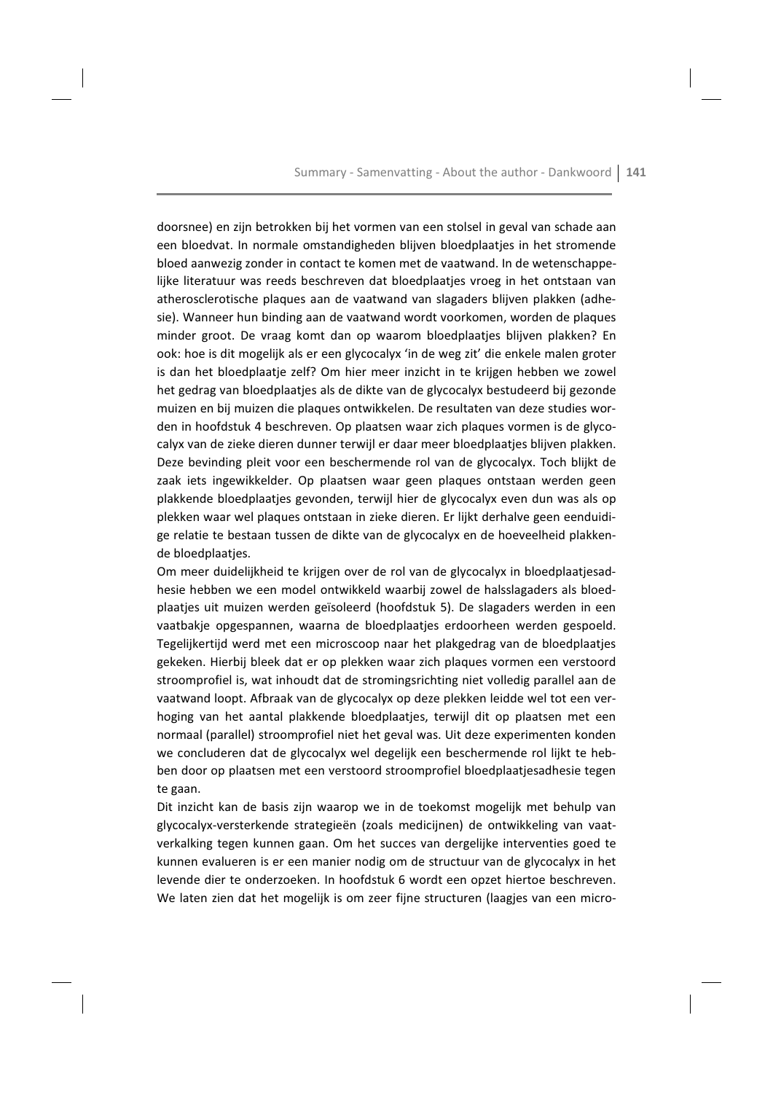doorsnee) en zijn betrokken bij het vormen van een stolsel in geval van schade aan een bloedvat. In normale omstandigheden blijven bloedplaaties in het stromende bloed aanwezig zonder in contact te komen met de vaatwand. In de wetenschappelijke literatuur was reeds beschreven dat bloedplaaties vroeg in het ontstaan van atherosclerotische plagues aan de vaatwand van slagaders blijven plakken (adhesie). Wanneer hun binding aan de vaatwand wordt voorkomen, worden de plagues minder groot. De vraag komt dan op waarom bloedplaatjes blijven plakken? En ook: hoe is dit mogelijk als er een glycocalyx 'in de weg zit' die enkele malen groter is dan het bloedplaatie zelf? Om hier meer inzicht in te krijgen hebben we zowel het gedrag van bloedplaatjes als de dikte van de glycocalyx bestudeerd bij gezonde muizen en bij muizen die plagues ontwikkelen. De resultaten van deze studies worden in hoofdstuk 4 beschreven. Op plaatsen waar zich plagues vormen is de glycocalyx van de zieke dieren dunner terwijl er daar meer bloedplaatjes blijven plakken. Deze bevinding pleit voor een beschermende rol van de glycocalyx. Toch blijkt de zaak iets ingewikkelder. Op plaatsen waar geen plagues ontstaan werden geen plakkende bloedplaatjes gevonden, terwijl hier de glycocalyx even dun was als op plekken waar wel plagues ontstaan in zieke dieren. Er lijkt derhalve geen eenduidige relatie te bestaan tussen de dikte van de glycocalyx en de hoeveelheid plakkende bloedplaatjes.

Om meer duidelijkheid te krijgen over de rol van de glycocalyx in bloedplaatjesadhesie hebben we een model ontwikkeld waarbij zowel de halsslagaders als bloedplaaties uit muizen werden geïsoleerd (hoofdstuk 5). De slagaders werden in een vaatbakje opgespannen, waarna de bloedplaatjes erdoorheen werden gespoeld. Tegelijkertijd werd met een microscoop naar het plakgedrag van de bloedplaatjes gekeken. Hierbij bleek dat er op plekken waar zich plagues vormen een verstoord stroomprofiel is, wat inhoudt dat de stromingsrichting niet volledig parallel aan de vaatwand loopt. Afbraak van de glycocalyx op deze plekken leidde wel tot een verhoging van het aantal plakkende bloedplaatjes, terwijl dit op plaatsen met een normaal (parallel) stroomprofiel niet het geval was. Uit deze experimenten konden we concluderen dat de glycocalyx wel degelijk een beschermende rol lijkt te hebben door op plaatsen met een verstoord stroomprofiel bloedplaatjesadhesie tegen te gaan.

Dit inzicht kan de basis zijn waarop we in de toekomst mogelijk met behulp van glycocalyx-versterkende strategieën (zoals medicijnen) de ontwikkeling van vaatverkalking tegen kunnen gaan. Om het succes van dergelijke interventies goed te kunnen evalueren is er een manier nodig om de structuur van de glycocalyx in het levende dier te onderzoeken. In hoofdstuk 6 wordt een opzet hiertoe beschreven. We laten zien dat het mogelijk is om zeer fijne structuren (laagjes van een micro